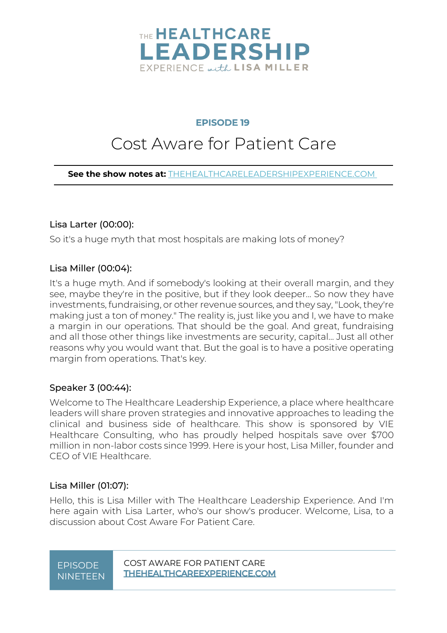

### **EPISODE 19**

### Cost Aware for Patient Care

**See the show notes at:** THEHEALTHCARELEADERSHIPEXPERIENCE.COM

#### Lisa Larter (00:00):

So it's a huge myth that most hospitals are making lots of money?

#### Lisa Miller (00:04):

It's a huge myth. And if somebody's looking at their overall margin, and they see, maybe they're in the positive, but if they look deeper... So now they have investments, fundraising, or other revenue sources, and they say, "Look, they're making just a ton of money." The reality is, just like you and I, we have to make a margin in our operations. That should be the goal. And great, fundraising and all those other things like investments are security, capital... Just all other reasons why you would want that. But the goal is to have a positive operating margin from operations. That's key.

### Speaker 3 (00:44):

Welcome to The Healthcare Leadership Experience, a place where healthcare leaders will share proven strategies and innovative approaches to leading the clinical and business side of healthcare. This show is sponsored by VIE Healthcare Consulting, who has proudly helped hospitals save over \$700 million in non-labor costs since 1999. Here is your host, Lisa Miller, founder and CEO of VIE Healthcare.

### Lisa Miller (01:07):

Hello, this is Lisa Miller with The Healthcare Leadership Experience. And I'm here again with Lisa Larter, who's our show's producer. Welcome, Lisa, to a discussion about Cost Aware For Patient Care.

# NINETEEN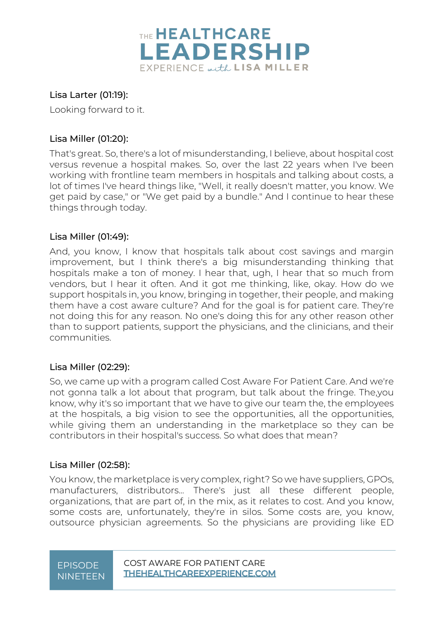

### Lisa Larter (01:19):

Looking forward to it.

### Lisa Miller (01:20):

That's great. So, there's a lot of misunderstanding, I believe, about hospital cost versus revenue a hospital makes. So, over the last 22 years when I've been working with frontline team members in hospitals and talking about costs, a lot of times I've heard things like, "Well, it really doesn't matter, you know. We get paid by case," or "We get paid by a bundle." And I continue to hear these things through today.

### Lisa Miller (01:49):

And, you know, I know that hospitals talk about cost savings and margin improvement, but I think there's a big misunderstanding thinking that hospitals make a ton of money. I hear that, ugh, I hear that so much from vendors, but I hear it often. And it got me thinking, like, okay. How do we support hospitals in, you know, bringing in together, their people, and making them have a cost aware culture? And for the goal is for patient care. They're not doing this for any reason. No one's doing this for any other reason other than to support patients, support the physicians, and the clinicians, and their communities.

### Lisa Miller (02:29):

So, we came up with a program called Cost Aware For Patient Care. And we're not gonna talk a lot about that program, but talk about the fringe. The,you know, why it's so important that we have to give our team the, the employees at the hospitals, a big vision to see the opportunities, all the opportunities, while giving them an understanding in the marketplace so they can be contributors in their hospital's success. So what does that mean?

### Lisa Miller (02:58):

You know, the marketplace is very complex, right? So we have suppliers, GPOs, manufacturers, distributors... There's just all these different people, organizations, that are part of, in the mix, as it relates to cost. And you know, some costs are, unfortunately, they're in silos. Some costs are, you know, outsource physician agreements. So the physicians are providing like ED

# NINETEEN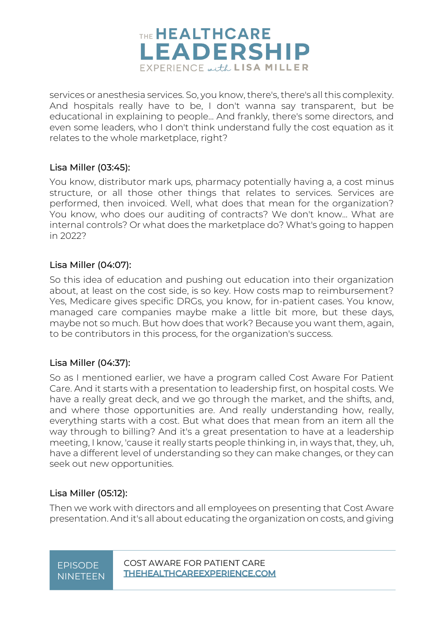

services or anesthesia services. So, you know, there's, there's all this complexity. And hospitals really have to be, I don't wanna say transparent, but be educational in explaining to people... And frankly, there's some directors, and even some leaders, who I don't think understand fully the cost equation as it relates to the whole marketplace, right?

### Lisa Miller (03:45):

You know, distributor mark ups, pharmacy potentially having a, a cost minus structure, or all those other things that relates to services. Services are performed, then invoiced. Well, what does that mean for the organization? You know, who does our auditing of contracts? We don't know... What are internal controls? Or what does the marketplace do? What's going to happen in 2022?

### Lisa Miller (04:07):

So this idea of education and pushing out education into their organization about, at least on the cost side, is so key. How costs map to reimbursement? Yes, Medicare gives specific DRGs, you know, for in-patient cases. You know, managed care companies maybe make a little bit more, but these days, maybe not so much. But how does that work? Because you want them, again, to be contributors in this process, for the organization's success.

### Lisa Miller (04:37):

So as I mentioned earlier, we have a program called Cost Aware For Patient Care. And it starts with a presentation to leadership first, on hospital costs. We have a really great deck, and we go through the market, and the shifts, and, and where those opportunities are. And really understanding how, really, everything starts with a cost. But what does that mean from an item all the way through to billing? And it's a great presentation to have at a leadership meeting, I know, 'cause it really starts people thinking in, in ways that, they, uh, have a different level of understanding so they can make changes, or they can seek out new opportunities.

### Lisa Miller (05:12):

Then we work with directors and all employees on presenting that Cost Aware presentation. And it's all about educating the organization on costs, and giving

# NINETEEN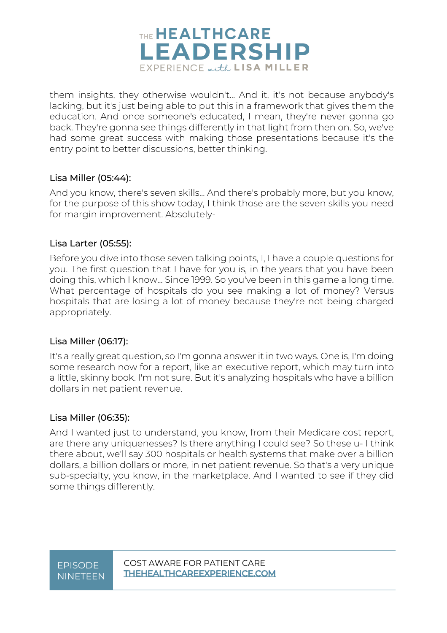

them insights, they otherwise wouldn't... And it, it's not because anybody's lacking, but it's just being able to put this in a framework that gives them the education. And once someone's educated, I mean, they're never gonna go back. They're gonna see things differently in that light from then on. So, we've had some great success with making those presentations because it's the entry point to better discussions, better thinking.

### Lisa Miller (05:44):

And you know, there's seven skills... And there's probably more, but you know, for the purpose of this show today, I think those are the seven skills you need for margin improvement. Absolutely-

### Lisa Larter (05:55):

Before you dive into those seven talking points, I, I have a couple questions for you. The first question that I have for you is, in the years that you have been doing this, which I know... Since 1999. So you've been in this game a long time. What percentage of hospitals do you see making a lot of money? Versus hospitals that are losing a lot of money because they're not being charged appropriately.

### Lisa Miller (06:17):

It's a really great question, so I'm gonna answer it in two ways. One is, I'm doing some research now for a report, like an executive report, which may turn into a little, skinny book. I'm not sure. But it's analyzing hospitals who have a billion dollars in net patient revenue.

### Lisa Miller (06:35):

And I wanted just to understand, you know, from their Medicare cost report, are there any uniquenesses? Is there anything I could see? So these u- I think there about, we'll say 300 hospitals or health systems that make over a billion dollars, a billion dollars or more, in net patient revenue. So that's a very unique sub-specialty, you know, in the marketplace. And I wanted to see if they did some things differently.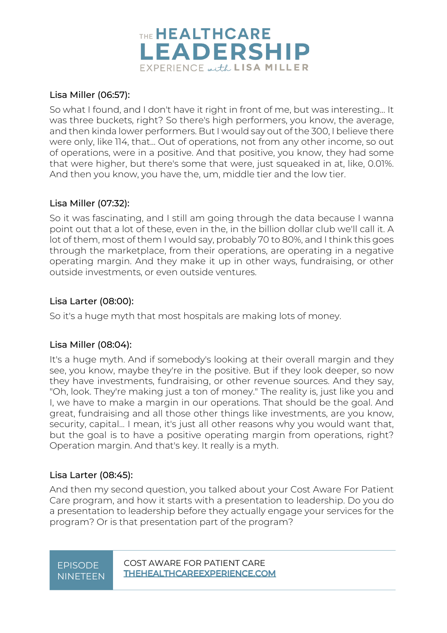

### Lisa Miller (06:57):

So what I found, and I don't have it right in front of me, but was interesting... It was three buckets, right? So there's high performers, you know, the average, and then kinda lower performers. But I would say out of the 300, I believe there were only, like 114, that... Out of operations, not from any other income, so out of operations, were in a positive. And that positive, you know, they had some that were higher, but there's some that were, just squeaked in at, like, 0.01%. And then you know, you have the, um, middle tier and the low tier.

### Lisa Miller (07:32):

So it was fascinating, and I still am going through the data because I wanna point out that a lot of these, even in the, in the billion dollar club we'll call it. A lot of them, most of them I would say, probably 70 to 80%, and I think this goes through the marketplace, from their operations, are operating in a negative operating margin. And they make it up in other ways, fundraising, or other outside investments, or even outside ventures.

### Lisa Larter (08:00):

So it's a huge myth that most hospitals are making lots of money.

### Lisa Miller (08:04):

It's a huge myth. And if somebody's looking at their overall margin and they see, you know, maybe they're in the positive. But if they look deeper, so now they have investments, fundraising, or other revenue sources. And they say, "Oh, look. They're making just a ton of money." The reality is, just like you and I, we have to make a margin in our operations. That should be the goal. And great, fundraising and all those other things like investments, are you know, security, capital... I mean, it's just all other reasons why you would want that, but the goal is to have a positive operating margin from operations, right? Operation margin. And that's key. It really is a myth.

### Lisa Larter (08:45):

And then my second question, you talked about your Cost Aware For Patient Care program, and how it starts with a presentation to leadership. Do you do a presentation to leadership before they actually engage your services for the program? Or is that presentation part of the program?

# NINETEEN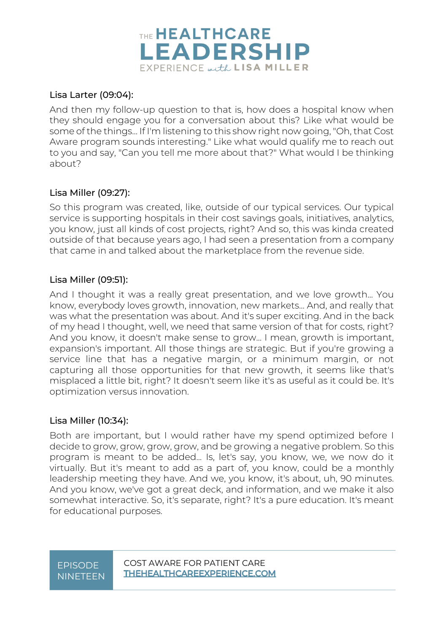

### Lisa Larter (09:04):

And then my follow-up question to that is, how does a hospital know when they should engage you for a conversation about this? Like what would be some of the things... If I'm listening to this show right now going, "Oh, that Cost Aware program sounds interesting." Like what would qualify me to reach out to you and say, "Can you tell me more about that?" What would I be thinking about?

### Lisa Miller (09:27):

So this program was created, like, outside of our typical services. Our typical service is supporting hospitals in their cost savings goals, initiatives, analytics, you know, just all kinds of cost projects, right? And so, this was kinda created outside of that because years ago, I had seen a presentation from a company that came in and talked about the marketplace from the revenue side.

### Lisa Miller (09:51):

And I thought it was a really great presentation, and we love growth... You know, everybody loves growth, innovation, new markets... And, and really that was what the presentation was about. And it's super exciting. And in the back of my head I thought, well, we need that same version of that for costs, right? And you know, it doesn't make sense to grow... I mean, growth is important, expansion's important. All those things are strategic. But if you're growing a service line that has a negative margin, or a minimum margin, or not capturing all those opportunities for that new growth, it seems like that's misplaced a little bit, right? It doesn't seem like it's as useful as it could be. It's optimization versus innovation.

### Lisa Miller (10:34):

Both are important, but I would rather have my spend optimized before I decide to grow, grow, grow, grow, and be growing a negative problem. So this program is meant to be added... Is, let's say, you know, we, we now do it virtually. But it's meant to add as a part of, you know, could be a monthly leadership meeting they have. And we, you know, it's about, uh, 90 minutes. And you know, we've got a great deck, and information, and we make it also somewhat interactive. So, it's separate, right? It's a pure education. It's meant for educational purposes.

### EPISODE COST AWARE FOR PATIENT CARE NINETEEN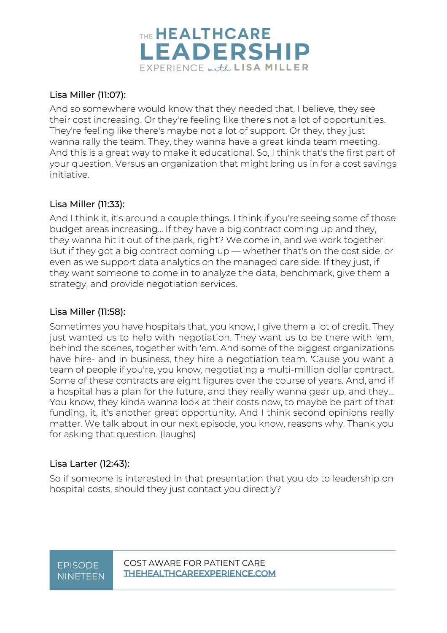

### Lisa Miller (11:07):

And so somewhere would know that they needed that, I believe, they see their cost increasing. Or they're feeling like there's not a lot of opportunities. They're feeling like there's maybe not a lot of support. Or they, they just wanna rally the team. They, they wanna have a great kinda team meeting. And this is a great way to make it educational. So, I think that's the first part of your question. Versus an organization that might bring us in for a cost savings initiative.

### Lisa Miller (11:33):

And I think it, it's around a couple things. I think if you're seeing some of those budget areas increasing... If they have a big contract coming up and they, they wanna hit it out of the park, right? We come in, and we work together. But if they got a big contract coming up — whether that's on the cost side, or even as we support data analytics on the managed care side. If they just, if they want someone to come in to analyze the data, benchmark, give them a strategy, and provide negotiation services.

### Lisa Miller (11:58):

Sometimes you have hospitals that, you know, I give them a lot of credit. They just wanted us to help with negotiation. They want us to be there with 'em, behind the scenes, together with 'em. And some of the biggest organizations have hire- and in business, they hire a negotiation team. 'Cause you want a team of people if you're, you know, negotiating a multi-million dollar contract. Some of these contracts are eight figures over the course of years. And, and if a hospital has a plan for the future, and they really wanna gear up, and they... You know, they kinda wanna look at their costs now, to maybe be part of that funding, it, it's another great opportunity. And I think second opinions really matter. We talk about in our next episode, you know, reasons why. Thank you for asking that question. (laughs)

### Lisa Larter (12:43):

So if someone is interested in that presentation that you do to leadership on hospital costs, should they just contact you directly?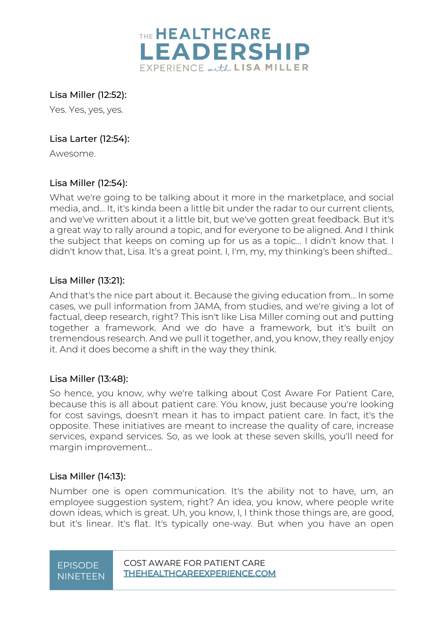

Lisa Miller (12:52):

Yes. Yes, yes, yes.

### Lisa Larter (12:54):

Awesome.

### Lisa Miller (12:54):

What we're going to be talking about it more in the marketplace, and social media, and... It, it's kinda been a little bit under the radar to our current clients, and we've written about it a little bit, but we've gotten great feedback. But it's a great way to rally around a topic, and for everyone to be aligned. And I think the subject that keeps on coming up for us as a topic... I didn't know that. I didn't know that, Lisa. It's a great point. I, I'm, my, my thinking's been shifted...

### Lisa Miller (13:21):

And that's the nice part about it. Because the giving education from... In some cases, we pull information from JAMA, from studies, and we're giving a lot of factual, deep research, right? This isn't like Lisa Miller coming out and putting together a framework. And we do have a framework, but it's built on tremendous research. And we pull it together, and, you know, they really enjoy it. And it does become a shift in the way they think.

### Lisa Miller (13:48):

So hence, you know, why we're talking about Cost Aware For Patient Care, because this is all about patient care. You know, just because you're looking for cost savings, doesn't mean it has to impact patient care. In fact, it's the opposite. These initiatives are meant to increase the quality of care, increase services, expand services. So, as we look at these seven skills, you'll need for margin improvement...

### Lisa Miller (14:13):

Number one is open communication. It's the ability not to have, um, an employee suggestion system, right? An idea, you know, where people write down ideas, which is great. Uh, you know, I, I think those things are, are good, but it's linear. It's flat. It's typically one-way. But when you have an open

# NINETEEN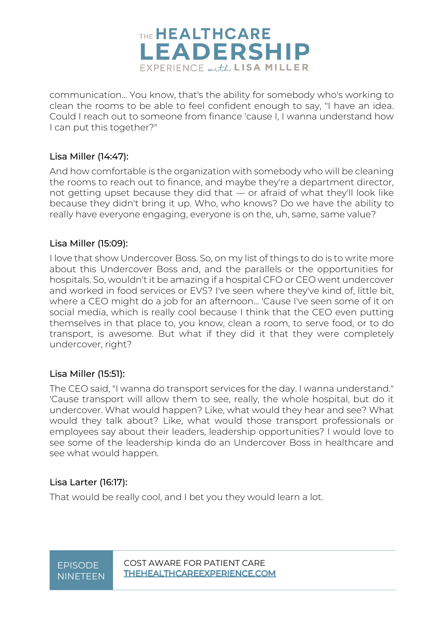

communication... You know, that's the ability for somebody who's working to clean the rooms to be able to feel confident enough to say, "I have an idea. Could I reach out to someone from finance 'cause I, I wanna understand how I can put this together?"

### Lisa Miller (14:47):

And how comfortable is the organization with somebody who will be cleaning the rooms to reach out to finance, and maybe they're a department director, not getting upset because they did that — or afraid of what they'll look like because they didn't bring it up. Who, who knows? Do we have the ability to really have everyone engaging, everyone is on the, uh, same, same value?

### Lisa Miller (15:09):

I love that show Undercover Boss. So, on my list of things to do is to write more about this Undercover Boss and, and the parallels or the opportunities for hospitals. So, wouldn't it be amazing if a hospital CFO or CEO went undercover and worked in food services or EVS? I've seen where they've kind of, little bit, where a CEO might do a job for an afternoon... 'Cause I've seen some of it on social media, which is really cool because I think that the CEO even putting themselves in that place to, you know, clean a room, to serve food, or to do transport, is awesome. But what if they did it that they were completely undercover, right?

### Lisa Miller (15:51):

The CEO said, "I wanna do transport services for the day. I wanna understand." 'Cause transport will allow them to see, really, the whole hospital, but do it undercover. What would happen? Like, what would they hear and see? What would they talk about? Like, what would those transport professionals or employees say about their leaders, leadership opportunities? I would love to see some of the leadership kinda do an Undercover Boss in healthcare and see what would happen.

### Lisa Larter (16:17):

That would be really cool, and I bet you they would learn a lot.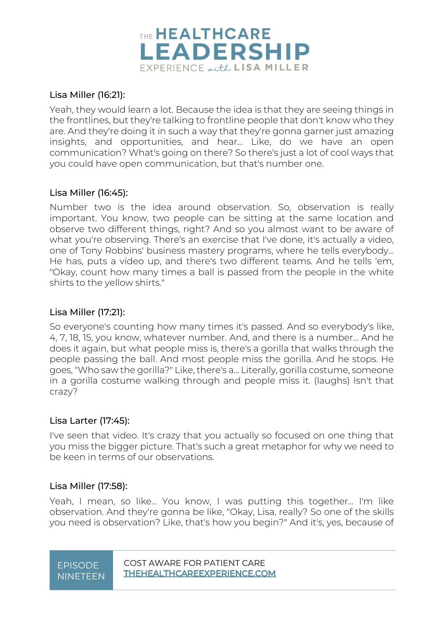

### Lisa Miller (16:21):

Yeah, they would learn a lot. Because the idea is that they are seeing things in the frontlines, but they're talking to frontline people that don't know who they are. And they're doing it in such a way that they're gonna garner just amazing insights, and opportunities, and hear... Like, do we have an open communication? What's going on there? So there's just a lot of cool ways that you could have open communication, but that's number one.

### Lisa Miller (16:45):

Number two is the idea around observation. So, observation is really important. You know, two people can be sitting at the same location and observe two different things, right? And so you almost want to be aware of what you're observing. There's an exercise that I've done, it's actually a video, one of Tony Robbins' business mastery programs, where he tells everybody... He has, puts a video up, and there's two different teams. And he tells 'em, "Okay, count how many times a ball is passed from the people in the white shirts to the yellow shirts."

### Lisa Miller (17:21):

So everyone's counting how many times it's passed. And so everybody's like, 4, 7, 18, 15, you know, whatever number. And, and there is a number... And he does it again, but what people miss is, there's a gorilla that walks through the people passing the ball. And most people miss the gorilla. And he stops. He goes, "Who saw the gorilla?" Like, there's a... Literally, gorilla costume, someone in a gorilla costume walking through and people miss it. (laughs) Isn't that crazy?

### Lisa Larter (17:45):

I've seen that video. It's crazy that you actually so focused on one thing that you miss the bigger picture. That's such a great metaphor for why we need to be keen in terms of our observations.

### Lisa Miller (17:58):

Yeah, I mean, so like... You know, I was putting this together... I'm like observation. And they're gonna be like, "Okay, Lisa, really? So one of the skills you need is observation? Like, that's how you begin?" And it's, yes, because of

# NINETEEN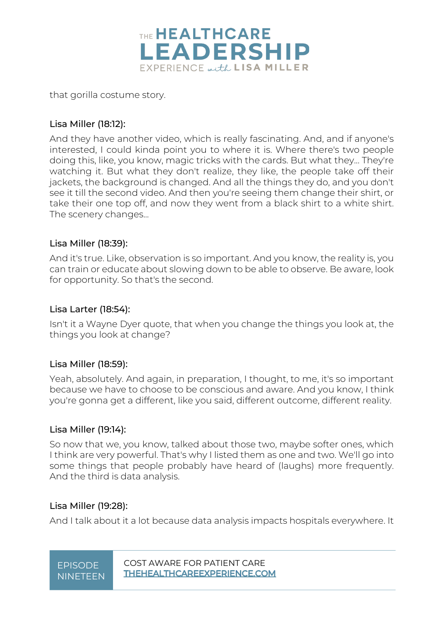

that gorilla costume story.

### Lisa Miller (18:12):

And they have another video, which is really fascinating. And, and if anyone's interested, I could kinda point you to where it is. Where there's two people doing this, like, you know, magic tricks with the cards. But what they... They're watching it. But what they don't realize, they like, the people take off their jackets, the background is changed. And all the things they do, and you don't see it till the second video. And then you're seeing them change their shirt, or take their one top off, and now they went from a black shirt to a white shirt. The scenery changes...

### Lisa Miller (18:39):

And it's true. Like, observation is so important. And you know, the reality is, you can train or educate about slowing down to be able to observe. Be aware, look for opportunity. So that's the second.

### Lisa Larter (18:54):

Isn't it a Wayne Dyer quote, that when you change the things you look at, the things you look at change?

### Lisa Miller (18:59):

Yeah, absolutely. And again, in preparation, I thought, to me, it's so important because we have to choose to be conscious and aware. And you know, I think you're gonna get a different, like you said, different outcome, different reality.

### Lisa Miller (19:14):

So now that we, you know, talked about those two, maybe softer ones, which I think are very powerful. That's why I listed them as one and two. We'll go into some things that people probably have heard of (laughs) more frequently. And the third is data analysis.

### Lisa Miller (19:28):

And I talk about it a lot because data analysis impacts hospitals everywhere. It

EPISODE COST AWARE FOR PATIENT CARE NINETEEN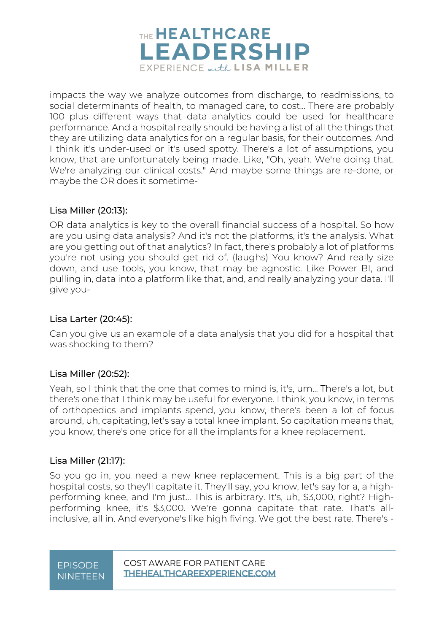

impacts the way we analyze outcomes from discharge, to readmissions, to social determinants of health, to managed care, to cost... There are probably 100 plus different ways that data analytics could be used for healthcare performance. And a hospital really should be having a list of all the things that they are utilizing data analytics for on a regular basis, for their outcomes. And I think it's under-used or it's used spotty. There's a lot of assumptions, you know, that are unfortunately being made. Like, "Oh, yeah. We're doing that. We're analyzing our clinical costs." And maybe some things are re-done, or maybe the OR does it sometime-

### Lisa Miller (20:13):

OR data analytics is key to the overall financial success of a hospital. So how are you using data analysis? And it's not the platforms, it's the analysis. What are you getting out of that analytics? In fact, there's probably a lot of platforms you're not using you should get rid of. (laughs) You know? And really size down, and use tools, you know, that may be agnostic. Like Power BI, and pulling in, data into a platform like that, and, and really analyzing your data. I'll give you-

### Lisa Larter (20:45):

Can you give us an example of a data analysis that you did for a hospital that was shocking to them?

### Lisa Miller (20:52):

Yeah, so I think that the one that comes to mind is, it's, um... There's a lot, but there's one that I think may be useful for everyone. I think, you know, in terms of orthopedics and implants spend, you know, there's been a lot of focus around, uh, capitating, let's say a total knee implant. So capitation means that, you know, there's one price for all the implants for a knee replacement.

### Lisa Miller (21:17):

So you go in, you need a new knee replacement. This is a big part of the hospital costs, so they'll capitate it. They'll say, you know, let's say for a, a highperforming knee, and I'm just... This is arbitrary. It's, uh, \$3,000, right? Highperforming knee, it's \$3,000. We're gonna capitate that rate. That's allinclusive, all in. And everyone's like high fiving. We got the best rate. There's -

# NINETEEN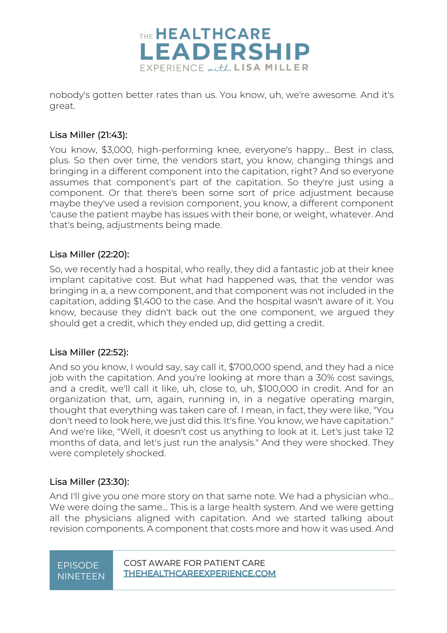

nobody's gotten better rates than us. You know, uh, we're awesome. And it's great.

### Lisa Miller (21:43):

You know, \$3,000, high-performing knee, everyone's happy... Best in class, plus. So then over time, the vendors start, you know, changing things and bringing in a different component into the capitation, right? And so everyone assumes that component's part of the capitation. So they're just using a component. Or that there's been some sort of price adjustment because maybe they've used a revision component, you know, a different component 'cause the patient maybe has issues with their bone, or weight, whatever. And that's being, adjustments being made.

### Lisa Miller (22:20):

So, we recently had a hospital, who really, they did a fantastic job at their knee implant capitative cost. But what had happened was, that the vendor was bringing in a, a new component, and that component was not included in the capitation, adding \$1,400 to the case. And the hospital wasn't aware of it. You know, because they didn't back out the one component, we argued they should get a credit, which they ended up, did getting a credit.

### Lisa Miller (22:52):

And so you know, I would say, say call it, \$700,000 spend, and they had a nice job with the capitation. And you're looking at more than a 30% cost savings, and a credit, we'll call it like, uh, close to, uh, \$100,000 in credit. And for an organization that, um, again, running in, in a negative operating margin, thought that everything was taken care of. I mean, in fact, they were like, "You don't need to look here, we just did this. It's fine. You know, we have capitation." And we're like, "Well, it doesn't cost us anything to look at it. Let's just take 12 months of data, and let's just run the analysis." And they were shocked. They were completely shocked.

### Lisa Miller (23:30):

And I'll give you one more story on that same note. We had a physician who... We were doing the same... This is a large health system. And we were getting all the physicians aligned with capitation. And we started talking about revision components. A component that costs more and how it was used. And

# NINETEEN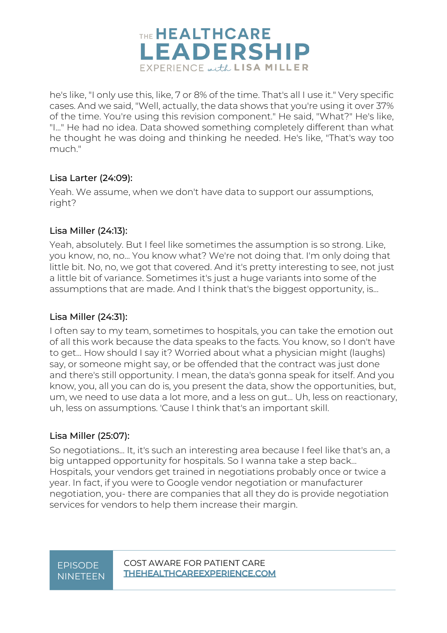

he's like, "I only use this, like, 7 or 8% of the time. That's all I use it." Very specific cases. And we said, "Well, actually, the data shows that you're using it over 37% of the time. You're using this revision component." He said, "What?" He's like, "I..." He had no idea. Data showed something completely different than what he thought he was doing and thinking he needed. He's like, "That's way too much."

### Lisa Larter (24:09):

Yeah. We assume, when we don't have data to support our assumptions, right?

### Lisa Miller (24:13):

Yeah, absolutely. But I feel like sometimes the assumption is so strong. Like, you know, no, no... You know what? We're not doing that. I'm only doing that little bit. No, no, we got that covered. And it's pretty interesting to see, not just a little bit of variance. Sometimes it's just a huge variants into some of the assumptions that are made. And I think that's the biggest opportunity, is...

### Lisa Miller (24:31):

I often say to my team, sometimes to hospitals, you can take the emotion out of all this work because the data speaks to the facts. You know, so I don't have to get... How should I say it? Worried about what a physician might (laughs) say, or someone might say, or be offended that the contract was just done and there's still opportunity. I mean, the data's gonna speak for itself. And you know, you, all you can do is, you present the data, show the opportunities, but, um, we need to use data a lot more, and a less on gut... Uh, less on reactionary, uh, less on assumptions. 'Cause I think that's an important skill.

### Lisa Miller (25:07):

So negotiations... It, it's such an interesting area because I feel like that's an, a big untapped opportunity for hospitals. So I wanna take a step back... Hospitals, your vendors get trained in negotiations probably once or twice a year. In fact, if you were to Google vendor negotiation or manufacturer negotiation, you- there are companies that all they do is provide negotiation services for vendors to help them increase their margin.

### EPISODE COST AWARE FOR PATIENT CARE NINETEEN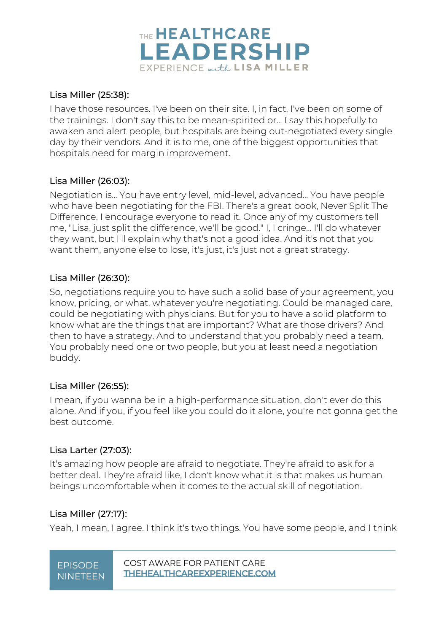

### Lisa Miller (25:38):

I have those resources. I've been on their site. I, in fact, I've been on some of the trainings. I don't say this to be mean-spirited or... I say this hopefully to awaken and alert people, but hospitals are being out-negotiated every single day by their vendors. And it is to me, one of the biggest opportunities that hospitals need for margin improvement.

### Lisa Miller (26:03):

Negotiation is... You have entry level, mid-level, advanced... You have people who have been negotiating for the FBI. There's a great book, Never Split The Difference. I encourage everyone to read it. Once any of my customers tell me, "Lisa, just split the difference, we'll be good." I, I cringe... I'll do whatever they want, but I'll explain why that's not a good idea. And it's not that you want them, anyone else to lose, it's just, it's just not a great strategy.

### Lisa Miller (26:30):

So, negotiations require you to have such a solid base of your agreement, you know, pricing, or what, whatever you're negotiating. Could be managed care, could be negotiating with physicians. But for you to have a solid platform to know what are the things that are important? What are those drivers? And then to have a strategy. And to understand that you probably need a team. You probably need one or two people, but you at least need a negotiation buddy.

### Lisa Miller (26:55):

I mean, if you wanna be in a high-performance situation, don't ever do this alone. And if you, if you feel like you could do it alone, you're not gonna get the best outcome.

### Lisa Larter (27:03):

It's amazing how people are afraid to negotiate. They're afraid to ask for a better deal. They're afraid like, I don't know what it is that makes us human beings uncomfortable when it comes to the actual skill of negotiation.

### Lisa Miller (27:17):

Yeah, I mean, I agree. I think it's two things. You have some people, and I think

# NINETEEN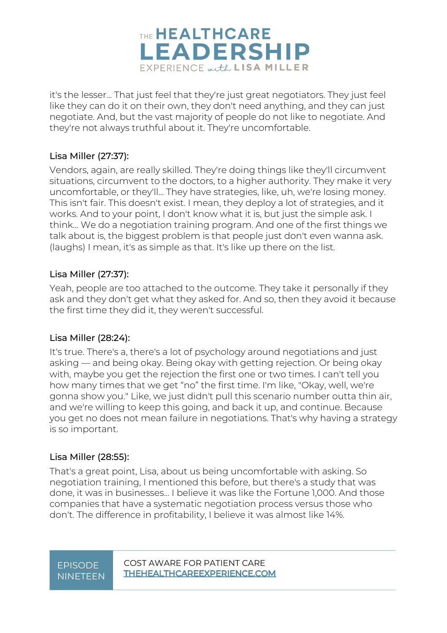

it's the lesser... That just feel that they're just great negotiators. They just feel like they can do it on their own, they don't need anything, and they can just negotiate. And, but the vast majority of people do not like to negotiate. And they're not always truthful about it. They're uncomfortable.

### Lisa Miller (27:37):

Vendors, again, are really skilled. They're doing things like they'll circumvent situations, circumvent to the doctors, to a higher authority. They make it very uncomfortable, or they'll... They have strategies, like, uh, we're losing money. This isn't fair. This doesn't exist. I mean, they deploy a lot of strategies, and it works. And to your point, I don't know what it is, but just the simple ask. I think... We do a negotiation training program. And one of the first things we talk about is, the biggest problem is that people just don't even wanna ask. (laughs) I mean, it's as simple as that. It's like up there on the list.

### Lisa Miller (27:37):

Yeah, people are too attached to the outcome. They take it personally if they ask and they don't get what they asked for. And so, then they avoid it because the first time they did it, they weren't successful.

### Lisa Miller (28:24):

It's true. There's a, there's a lot of psychology around negotiations and just asking — and being okay. Being okay with getting rejection. Or being okay with, maybe you get the rejection the first one or two times. I can't tell you how many times that we get "no" the first time. I'm like, "Okay, well, we're gonna show you." Like, we just didn't pull this scenario number outta thin air, and we're willing to keep this going, and back it up, and continue. Because you get no does not mean failure in negotiations. That's why having a strategy is so important.

### Lisa Miller (28:55):

That's a great point, Lisa, about us being uncomfortable with asking. So negotiation training, I mentioned this before, but there's a study that was done, it was in businesses... I believe it was like the Fortune 1,000. And those companies that have a systematic negotiation process versus those who don't. The difference in profitability, I believe it was almost like 14%.

# NINETEEN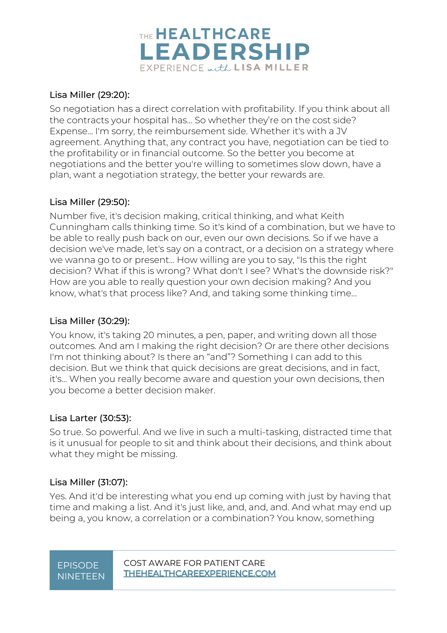

### Lisa Miller (29:20):

So negotiation has a direct correlation with profitability. If you think about all the contracts your hospital has... So whether they're on the cost side? Expense... I'm sorry, the reimbursement side. Whether it's with a JV agreement. Anything that, any contract you have, negotiation can be tied to the profitability or in financial outcome. So the better you become at negotiations and the better you're willing to sometimes slow down, have a plan, want a negotiation strategy, the better your rewards are.

### Lisa Miller (29:50):

Number five, it's decision making, critical thinking, and what Keith Cunningham calls thinking time. So it's kind of a combination, but we have to be able to really push back on our, even our own decisions. So if we have a decision we've made, let's say on a contract, or a decision on a strategy where we wanna go to or present... How willing are you to say, "Is this the right decision? What if this is wrong? What don't I see? What's the downside risk?" How are you able to really question your own decision making? And you know, what's that process like? And, and taking some thinking time...

### Lisa Miller (30:29):

You know, it's taking 20 minutes, a pen, paper, and writing down all those outcomes. And am I making the right decision? Or are there other decisions I'm not thinking about? Is there an "and"? Something I can add to this decision. But we think that quick decisions are great decisions, and in fact, it's... When you really become aware and question your own decisions, then you become a better decision maker.

### Lisa Larter (30:53):

So true. So powerful. And we live in such a multi-tasking, distracted time that is it unusual for people to sit and think about their decisions, and think about what they might be missing.

### Lisa Miller (31:07):

Yes. And it'd be interesting what you end up coming with just by having that time and making a list. And it's just like, and, and, and. And what may end up being a, you know, a correlation or a combination? You know, something

# **NINETFEN**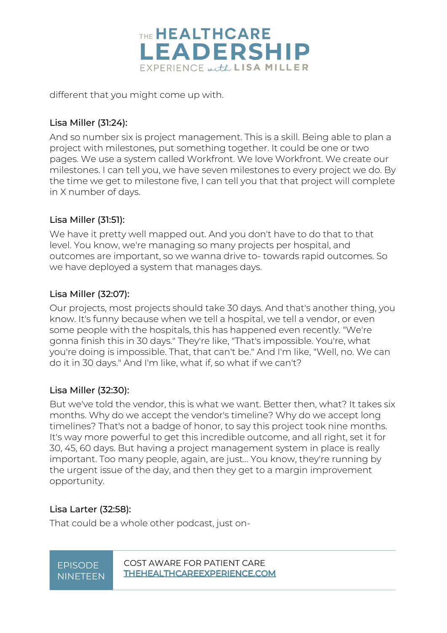

different that you might come up with.

### Lisa Miller (31:24):

And so number six is project management. This is a skill. Being able to plan a project with milestones, put something together. It could be one or two pages. We use a system called Workfront. We love Workfront. We create our milestones. I can tell you, we have seven milestones to every project we do. By the time we get to milestone five, I can tell you that that project will complete in X number of days.

### Lisa Miller (31:51):

We have it pretty well mapped out. And you don't have to do that to that level. You know, we're managing so many projects per hospital, and outcomes are important, so we wanna drive to- towards rapid outcomes. So we have deployed a system that manages days.

### Lisa Miller (32:07):

Our projects, most projects should take 30 days. And that's another thing, you know. It's funny because when we tell a hospital, we tell a vendor, or even some people with the hospitals, this has happened even recently. "We're gonna finish this in 30 days." They're like, "That's impossible. You're, what you're doing is impossible. That, that can't be." And I'm like, "Well, no. We can do it in 30 days." And I'm like, what if, so what if we can't?

### Lisa Miller (32:30):

But we've told the vendor, this is what we want. Better then, what? It takes six months. Why do we accept the vendor's timeline? Why do we accept long timelines? That's not a badge of honor, to say this project took nine months. It's way more powerful to get this incredible outcome, and all right, set it for 30, 45, 60 days. But having a project management system in place is really important. Too many people, again, are just... You know, they're running by the urgent issue of the day, and then they get to a margin improvement opportunity.

### Lisa Larter (32:58):

That could be a whole other podcast, just on-

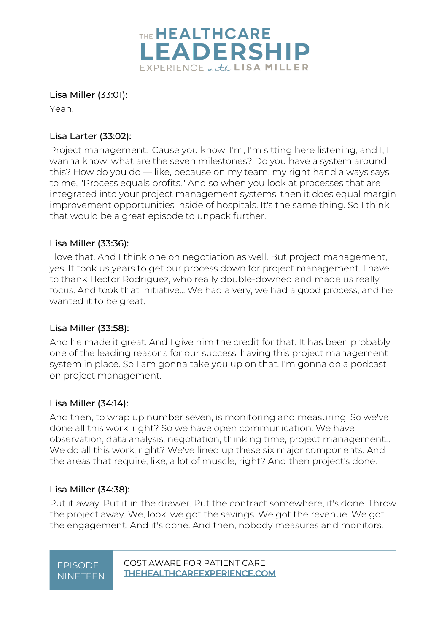

### Lisa Miller (33:01):

Yeah.

### Lisa Larter (33:02):

Project management. 'Cause you know, I'm, I'm sitting here listening, and I, I wanna know, what are the seven milestones? Do you have a system around this? How do you do — like, because on my team, my right hand always says to me, "Process equals profits." And so when you look at processes that are integrated into your project management systems, then it does equal margin improvement opportunities inside of hospitals. It's the same thing. So I think that would be a great episode to unpack further.

### Lisa Miller (33:36):

I love that. And I think one on negotiation as well. But project management, yes. It took us years to get our process down for project management. I have to thank Hector Rodriguez, who really double-downed and made us really focus. And took that initiative... We had a very, we had a good process, and he wanted it to be great.

### Lisa Miller (33:58):

And he made it great. And I give him the credit for that. It has been probably one of the leading reasons for our success, having this project management system in place. So I am gonna take you up on that. I'm gonna do a podcast on project management.

### Lisa Miller (34:14):

And then, to wrap up number seven, is monitoring and measuring. So we've done all this work, right? So we have open communication. We have observation, data analysis, negotiation, thinking time, project management... We do all this work, right? We've lined up these six major components. And the areas that require, like, a lot of muscle, right? And then project's done.

### Lisa Miller (34:38):

Put it away. Put it in the drawer. Put the contract somewhere, it's done. Throw the project away. We, look, we got the savings. We got the revenue. We got the engagement. And it's done. And then, nobody measures and monitors.

# NINETEEN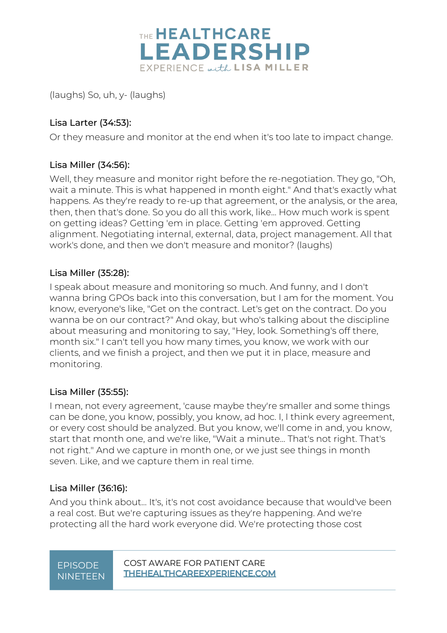

(laughs) So, uh, y- (laughs)

### Lisa Larter (34:53):

Or they measure and monitor at the end when it's too late to impact change.

### Lisa Miller (34:56):

Well, they measure and monitor right before the re-negotiation. They go, "Oh, wait a minute. This is what happened in month eight." And that's exactly what happens. As they're ready to re-up that agreement, or the analysis, or the area, then, then that's done. So you do all this work, like... How much work is spent on getting ideas? Getting 'em in place. Getting 'em approved. Getting alignment. Negotiating internal, external, data, project management. All that work's done, and then we don't measure and monitor? (laughs)

### Lisa Miller (35:28):

I speak about measure and monitoring so much. And funny, and I don't wanna bring GPOs back into this conversation, but I am for the moment. You know, everyone's like, "Get on the contract. Let's get on the contract. Do you wanna be on our contract?" And okay, but who's talking about the discipline about measuring and monitoring to say, "Hey, look. Something's off there, month six." I can't tell you how many times, you know, we work with our clients, and we finish a project, and then we put it in place, measure and monitoring.

### Lisa Miller (35:55):

I mean, not every agreement, 'cause maybe they're smaller and some things can be done, you know, possibly, you know, ad hoc. I, I think every agreement, or every cost should be analyzed. But you know, we'll come in and, you know, start that month one, and we're like, "Wait a minute... That's not right. That's not right." And we capture in month one, or we just see things in month seven. Like, and we capture them in real time.

### Lisa Miller (36:16):

And you think about... It's, it's not cost avoidance because that would've been a real cost. But we're capturing issues as they're happening. And we're protecting all the hard work everyone did. We're protecting those cost

| <b>EPISODE</b>  |
|-----------------|
| <b>NINETEEN</b> |

COST AWARE FOR PATIENT CARE<br>THEHEALTHCAREEXPERIENCE.COM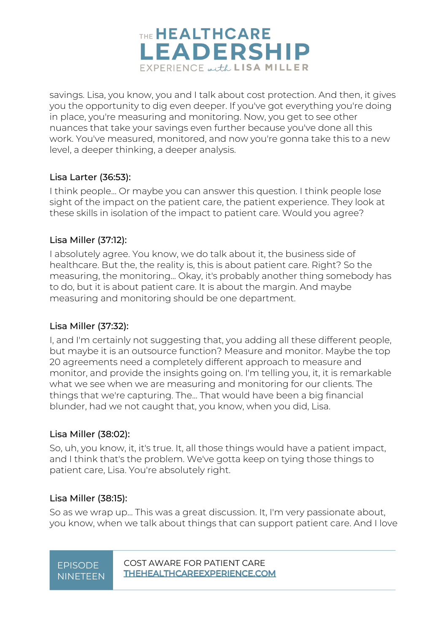

savings. Lisa, you know, you and I talk about cost protection. And then, it gives you the opportunity to dig even deeper. If you've got everything you're doing in place, you're measuring and monitoring. Now, you get to see other nuances that take your savings even further because you've done all this work. You've measured, monitored, and now you're gonna take this to a new level, a deeper thinking, a deeper analysis.

### Lisa Larter (36:53):

I think people... Or maybe you can answer this question. I think people lose sight of the impact on the patient care, the patient experience. They look at these skills in isolation of the impact to patient care. Would you agree?

### Lisa Miller (37:12):

I absolutely agree. You know, we do talk about it, the business side of healthcare. But the, the reality is, this is about patient care. Right? So the measuring, the monitoring... Okay, it's probably another thing somebody has to do, but it is about patient care. It is about the margin. And maybe measuring and monitoring should be one department.

### Lisa Miller (37:32):

I, and I'm certainly not suggesting that, you adding all these different people, but maybe it is an outsource function? Measure and monitor. Maybe the top 20 agreements need a completely different approach to measure and monitor, and provide the insights going on. I'm telling you, it, it is remarkable what we see when we are measuring and monitoring for our clients. The things that we're capturing. The... That would have been a big financial blunder, had we not caught that, you know, when you did, Lisa.

### Lisa Miller (38:02):

So, uh, you know, it, it's true. It, all those things would have a patient impact, and I think that's the problem. We've gotta keep on tying those things to patient care, Lisa. You're absolutely right.

### Lisa Miller (38:15):

So as we wrap up... This was a great discussion. It, I'm very passionate about, you know, when we talk about things that can support patient care. And I love

NINETEEN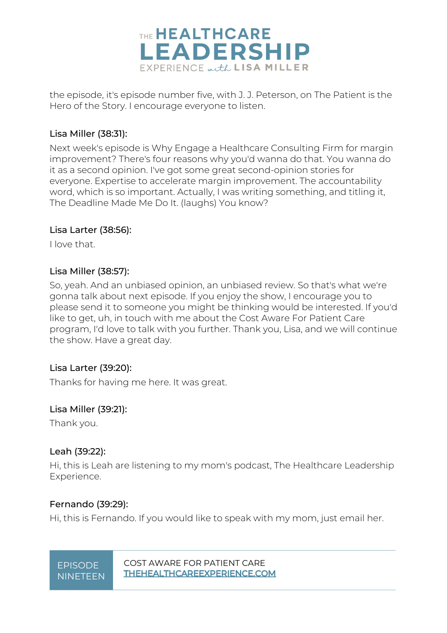

the episode, it's episode number five, with J. J. Peterson, on The Patient is the Hero of the Story. I encourage everyone to listen.

### Lisa Miller (38:31):

Next week's episode is Why Engage a Healthcare Consulting Firm for margin improvement? There's four reasons why you'd wanna do that. You wanna do it as a second opinion. I've got some great second-opinion stories for everyone. Expertise to accelerate margin improvement. The accountability word, which is so important. Actually, I was writing something, and titling it, The Deadline Made Me Do It. (laughs) You know?

### Lisa Larter (38:56):

I love that.

### Lisa Miller (38:57):

So, yeah. And an unbiased opinion, an unbiased review. So that's what we're gonna talk about next episode. If you enjoy the show, I encourage you to please send it to someone you might be thinking would be interested. If you'd like to get, uh, in touch with me about the Cost Aware For Patient Care program, I'd love to talk with you further. Thank you, Lisa, and we will continue the show. Have a great day.

### Lisa Larter (39:20):

Thanks for having me here. It was great.

### Lisa Miller (39:21):

Thank you.

### Leah (39:22):

Hi, this is Leah are listening to my mom's podcast, The Healthcare Leadership Experience.

### Fernando (39:29):

Hi, this is Fernando. If you would like to speak with my mom, just email her.

### EPISODE COST AWARE FOR PATIENT CARE NINETEEN